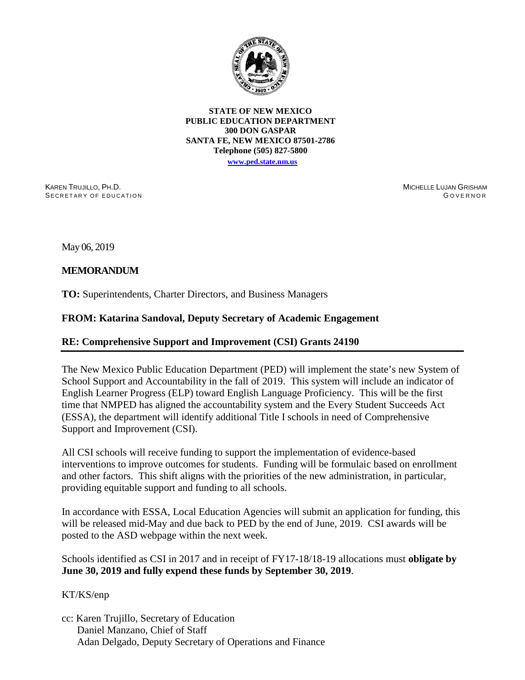

**STATE OF NEW MEXICO PUBLIC EDUCATION DEPARTMENT 300 DON GASPAR SANTA FE, NEW MEXICO 87501-2786 Telephone (505) 827-5800**

**[www.ped.state.nm.us](http://webnew.ped.state.nm.us/)**

KAREN TRUJILLO, PH.D. SECRETARY OF EDUCATION MICHELLE LUJAN GRISHAM G OVERNOR

May 06, 2019

## **MEMORANDUM**

**TO:** Superintendents, Charter Directors, and Business Managers

## **FROM: Katarina Sandoval, Deputy Secretary of Academic Engagement**

## **RE: Comprehensive Support and Improvement (CSI) Grants 24190**

The New Mexico Public Education Department (PED) will implement the state's new System of School Support and Accountability in the fall of 2019. This system will include an indicator of English Learner Progress (ELP) toward English Language Proficiency. This will be the first time that NMPED has aligned the accountability system and the Every Student Succeeds Act (ESSA), the department will identify additional Title I schools in need of Comprehensive Support and Improvement (CSI).

All CSI schools will receive funding to support the implementation of evidence-based interventions to improve outcomes for students. Funding will be formulaic based on enrollment and other factors. This shift aligns with the priorities of the new administration, in particular, providing equitable support and funding to all schools.

In accordance with ESSA, Local Education Agencies will submit an application for funding, this will be released mid-May and due back to PED by the end of June, 2019. CSI awards will be posted to the ASD webpage within the next week.

Schools identified as CSI in 2017 and in receipt of FY17-18/18-19 allocations must **obligate by June 30, 2019 and fully expend these funds by September 30, 2019**.

KT/KS/enp

cc: Karen Trujillo, Secretary of Education Daniel Manzano, Chief of Staff Adan Delgado, Deputy Secretary of Operations and Finance